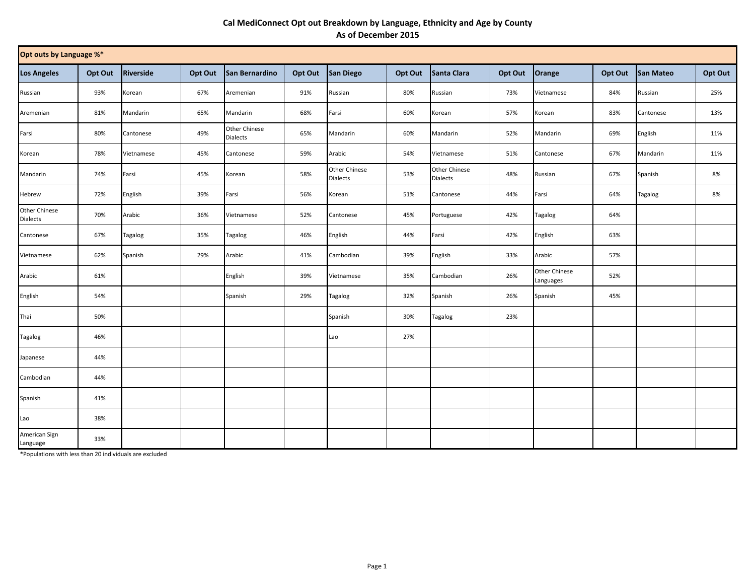## **Cal MediConnect Opt out Breakdown by Language, Ethnicity and Age by County As of December 2015**

| Opt outs by Language %*   |         |            |         |                                  |         |                                  |         |                                  |         |                            |         |           |         |
|---------------------------|---------|------------|---------|----------------------------------|---------|----------------------------------|---------|----------------------------------|---------|----------------------------|---------|-----------|---------|
| <b>Los Angeles</b>        | Opt Out | Riverside  | Opt Out | San Bernardino                   | Opt Out | San Diego                        | Opt Out | Santa Clara                      | Opt Out | Orange                     | Opt Out | San Mateo | Opt Out |
| Russian                   | 93%     | Korean     | 67%     | Aremenian                        | 91%     | Russian                          | 80%     | Russian                          | 73%     | Vietnamese                 | 84%     | Russian   | 25%     |
| Aremenian                 | 81%     | Mandarin   | 65%     | Mandarin                         | 68%     | Farsi                            | 60%     | Korean                           | 57%     | Korean                     | 83%     | Cantonese | 13%     |
| Farsi                     | 80%     | Cantonese  | 49%     | Other Chinese<br><b>Dialects</b> | 65%     | Mandarin                         | 60%     | Mandarin                         | 52%     | Mandarin                   | 69%     | English   | 11%     |
| Korean                    | 78%     | Vietnamese | 45%     | Cantonese                        | 59%     | Arabic                           | 54%     | Vietnamese                       | 51%     | Cantonese                  | 67%     | Mandarin  | 11%     |
| Mandarin                  | 74%     | Farsi      | 45%     | Korean                           | 58%     | Other Chinese<br><b>Dialects</b> | 53%     | Other Chinese<br><b>Dialects</b> | 48%     | Russian                    | 67%     | Spanish   | 8%      |
| Hebrew                    | 72%     | English    | 39%     | Farsi                            | 56%     | Korean                           | 51%     | Cantonese                        | 44%     | Farsi                      | 64%     | Tagalog   | 8%      |
| Other Chinese<br>Dialects | 70%     | Arabic     | 36%     | Vietnamese                       | 52%     | Cantonese                        | 45%     | Portuguese                       | 42%     | Tagalog                    | 64%     |           |         |
| Cantonese                 | 67%     | Tagalog    | 35%     | <b>Tagalog</b>                   | 46%     | English                          | 44%     | Farsi                            | 42%     | English                    | 63%     |           |         |
| Vietnamese                | 62%     | Spanish    | 29%     | Arabic                           | 41%     | Cambodian                        | 39%     | English                          | 33%     | Arabic                     | 57%     |           |         |
| Arabic                    | 61%     |            |         | English                          | 39%     | Vietnamese                       | 35%     | Cambodian                        | 26%     | Other Chinese<br>Languages | 52%     |           |         |
| English                   | 54%     |            |         | Spanish                          | 29%     | Tagalog                          | 32%     | Spanish                          | 26%     | Spanish                    | 45%     |           |         |
| Thai                      | 50%     |            |         |                                  |         | Spanish                          | 30%     | Tagalog                          | 23%     |                            |         |           |         |
| Tagalog                   | 46%     |            |         |                                  |         | Lao                              | 27%     |                                  |         |                            |         |           |         |
| Japanese                  | 44%     |            |         |                                  |         |                                  |         |                                  |         |                            |         |           |         |
| Cambodian                 | 44%     |            |         |                                  |         |                                  |         |                                  |         |                            |         |           |         |
| Spanish                   | 41%     |            |         |                                  |         |                                  |         |                                  |         |                            |         |           |         |
| Lao                       | 38%     |            |         |                                  |         |                                  |         |                                  |         |                            |         |           |         |
| American Sign<br>Language | 33%     |            |         |                                  |         |                                  |         |                                  |         |                            |         |           |         |

\*Populations with less than 20 individuals are excluded